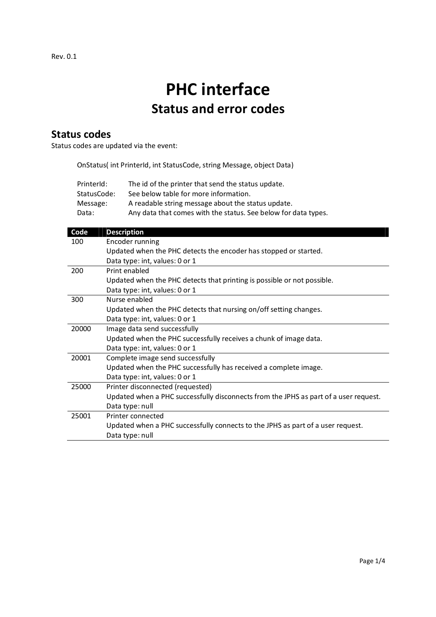# PHC interface Status and error codes

## Status codes

Status codes are updated via the event:

OnStatus( int PrinterId, int StatusCode, string Message, object Data)

| PrinterId:  | The id of the printer that send the status update.             |
|-------------|----------------------------------------------------------------|
| StatusCode: | See below table for more information.                          |
| Message:    | A readable string message about the status update.             |
| Data:       | Any data that comes with the status. See below for data types. |

| Code  | <b>Description</b>                                                                   |
|-------|--------------------------------------------------------------------------------------|
| 100   | Encoder running                                                                      |
|       | Updated when the PHC detects the encoder has stopped or started.                     |
|       | Data type: int, values: 0 or 1                                                       |
| 200   | Print enabled                                                                        |
|       | Updated when the PHC detects that printing is possible or not possible.              |
|       | Data type: int, values: 0 or 1                                                       |
| 300   | Nurse enabled                                                                        |
|       | Updated when the PHC detects that nursing on/off setting changes.                    |
|       | Data type: int, values: 0 or 1                                                       |
| 20000 | Image data send successfully                                                         |
|       | Updated when the PHC successfully receives a chunk of image data.                    |
|       | Data type: int, values: 0 or 1                                                       |
| 20001 | Complete image send successfully                                                     |
|       | Updated when the PHC successfully has received a complete image.                     |
|       | Data type: int, values: 0 or 1                                                       |
| 25000 | Printer disconnected (requested)                                                     |
|       | Updated when a PHC successfully disconnects from the JPHS as part of a user request. |
|       | Data type: null                                                                      |
| 25001 | Printer connected                                                                    |
|       | Updated when a PHC successfully connects to the JPHS as part of a user request.      |
|       | Data type: null                                                                      |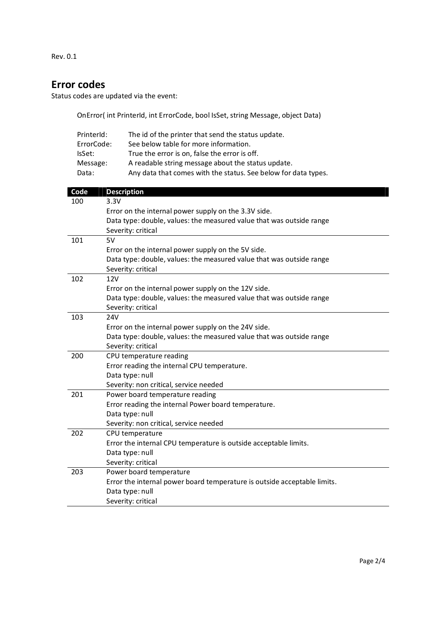Rev. 0.1

## Error codes

Status codes are updated via the event:

OnError( int PrinterId, int ErrorCode, bool IsSet, string Message, object Data)

| PrinterId: | The id of the printer that send the status update.             |
|------------|----------------------------------------------------------------|
| ErrorCode: | See below table for more information.                          |
| IsSet:     | True the error is on, false the error is off.                  |
| Message:   | A readable string message about the status update.             |
| Data:      | Any data that comes with the status. See below for data types. |

| Code | <b>Description</b>                                                       |
|------|--------------------------------------------------------------------------|
| 100  | 3.3V                                                                     |
|      | Error on the internal power supply on the 3.3V side.                     |
|      | Data type: double, values: the measured value that was outside range     |
|      | Severity: critical                                                       |
| 101  | 5V                                                                       |
|      | Error on the internal power supply on the 5V side.                       |
|      | Data type: double, values: the measured value that was outside range     |
|      | Severity: critical                                                       |
| 102  | <b>12V</b>                                                               |
|      | Error on the internal power supply on the 12V side.                      |
|      | Data type: double, values: the measured value that was outside range     |
|      | Severity: critical                                                       |
| 103  | 24V                                                                      |
|      | Error on the internal power supply on the 24V side.                      |
|      | Data type: double, values: the measured value that was outside range     |
|      | Severity: critical                                                       |
| 200  | CPU temperature reading                                                  |
|      | Error reading the internal CPU temperature.                              |
|      | Data type: null                                                          |
|      | Severity: non critical, service needed                                   |
| 201  | Power board temperature reading                                          |
|      | Error reading the internal Power board temperature.                      |
|      | Data type: null                                                          |
|      | Severity: non critical, service needed                                   |
| 202  | CPU temperature                                                          |
|      | Error the internal CPU temperature is outside acceptable limits.         |
|      | Data type: null                                                          |
|      | Severity: critical                                                       |
| 203  | Power board temperature                                                  |
|      | Error the internal power board temperature is outside acceptable limits. |
|      | Data type: null                                                          |
|      | Severity: critical                                                       |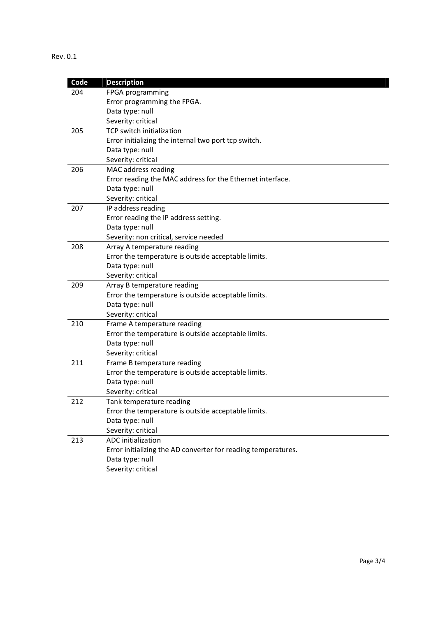### Rev. 0.1

| Code | <b>Description</b>                                            |
|------|---------------------------------------------------------------|
| 204  | FPGA programming                                              |
|      | Error programming the FPGA.                                   |
|      | Data type: null                                               |
|      | Severity: critical                                            |
| 205  | <b>TCP switch initialization</b>                              |
|      | Error initializing the internal two port tcp switch.          |
|      | Data type: null                                               |
|      | Severity: critical                                            |
| 206  | MAC address reading                                           |
|      | Error reading the MAC address for the Ethernet interface.     |
|      | Data type: null                                               |
|      | Severity: critical                                            |
| 207  | IP address reading                                            |
|      | Error reading the IP address setting.                         |
|      | Data type: null                                               |
|      | Severity: non critical, service needed                        |
| 208  | Array A temperature reading                                   |
|      | Error the temperature is outside acceptable limits.           |
|      | Data type: null                                               |
|      | Severity: critical                                            |
| 209  | Array B temperature reading                                   |
|      | Error the temperature is outside acceptable limits.           |
|      | Data type: null                                               |
|      | Severity: critical                                            |
| 210  | Frame A temperature reading                                   |
|      | Error the temperature is outside acceptable limits.           |
|      | Data type: null<br>Severity: critical                         |
| 211  | Frame B temperature reading                                   |
|      | Error the temperature is outside acceptable limits.           |
|      | Data type: null                                               |
|      | Severity: critical                                            |
| 212  | Tank temperature reading                                      |
|      | Error the temperature is outside acceptable limits.           |
|      | Data type: null                                               |
|      | Severity: critical                                            |
| 213  | ADC initialization                                            |
|      | Error initializing the AD converter for reading temperatures. |
|      | Data type: null                                               |
|      | Severity: critical                                            |